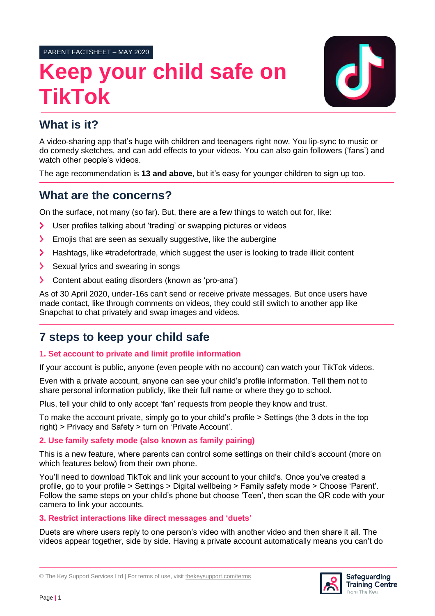PARENT FACTSHEET – MAY 2020

# **Keep your child safe on TikTok**



# **What is it?**

A video-sharing app that's huge with children and teenagers right now. You lip-sync to music or do comedy sketches, and can add effects to your videos. You can also gain followers ('fans') and watch other people's videos.

The age recommendation is **13 and above**, but it's easy for younger children to sign up too.

# **What are the concerns?**

On the surface, not many (so far). But, there are a few things to watch out for, like:

- ゝ User profiles talking about 'trading' or swapping pictures or videos
- $\blacktriangleright$ Emojis that are seen as sexually suggestive, like the aubergine
- Hashtags, like #tradefortrade, which suggest the user is looking to trade illicit content  $\blacktriangleright$
- $\blacktriangleright$ Sexual lyrics and swearing in songs
- $\blacktriangleright$ Content about eating disorders (known as 'pro-ana')

As of 30 April 2020, under-16s can't send or receive private messages. But once users have made contact, like through comments on videos, they could still switch to another app like Snapchat to chat privately and swap images and videos.

# **7 steps to keep your child safe**

## **1. Set account to private and limit profile information**

If your account is public, anyone (even people with no account) can watch your TikTok videos.

Even with a private account, anyone can see your child's profile information. Tell them not to share personal information publicly, like their full name or where they go to school.

Plus, tell your child to only accept 'fan' requests from people they know and trust.

To make the account private, simply go to your child's profile > Settings (the 3 dots in the top right) > Privacy and Safety > turn on 'Private Account'.

## **2. Use family safety mode (also known as family pairing)**

This is a new feature, where parents can control some settings on their child's account (more on which features below) from their own phone.

You'll need to download TikTok and link your account to your child's. Once you've created a profile, go to your profile > Settings > Digital wellbeing > Family safety mode > Choose 'Parent'. Follow the same steps on your child's phone but choose 'Teen', then scan the QR code with your camera to link your accounts.

## **3. Restrict interactions like direct messages and 'duets'**

Duets are where users reply to one person's video with another video and then share it all. The videos appear together, side by side. Having a private account automatically means you can't do



<sup>©</sup> The Key Support Services Ltd | For terms of use, visit [thekeysupport.com/terms](https://thekeysupport.com/terms-of-use)